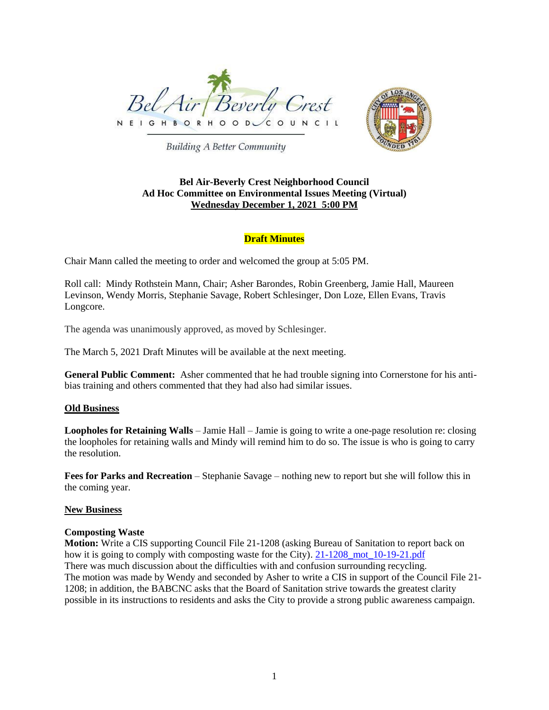



**Building A Better Community** 

## **Bel Air-Beverly Crest Neighborhood Council Ad Hoc Committee on Environmental Issues Meeting (Virtual) Wednesday December 1, 2021 5:00 PM**

# **Draft Minutes**

Chair Mann called the meeting to order and welcomed the group at 5:05 PM.

Roll call: Mindy Rothstein Mann, Chair; Asher Barondes, Robin Greenberg, Jamie Hall, Maureen Levinson, Wendy Morris, Stephanie Savage, Robert Schlesinger, Don Loze, Ellen Evans, Travis Longcore.

The agenda was unanimously approved, as moved by Schlesinger.

The March 5, 2021 Draft Minutes will be available at the next meeting.

**General Public Comment:** Asher commented that he had trouble signing into Cornerstone for his antibias training and others commented that they had also had similar issues.

## **Old Business**

**Loopholes for Retaining Walls** – Jamie Hall – Jamie is going to write a one-page resolution re: closing the loopholes for retaining walls and Mindy will remind him to do so. The issue is who is going to carry the resolution.

**Fees for Parks and Recreation** – Stephanie Savage – nothing new to report but she will follow this in the coming year.

## **New Business**

## **Composting Waste**

**Motion:** Write a CIS supporting Council File 21-1208 (asking Bureau of Sanitation to report back on how it is going to comply with composting waste for the City). 21-1208 mot 10-19-21.pdf There was much discussion about the difficulties with and confusion surrounding recycling. The motion was made by Wendy and seconded by Asher to write a CIS in support of the Council File 21- 1208; in addition, the BABCNC asks that the Board of Sanitation strive towards the greatest clarity possible in its instructions to residents and asks the City to provide a strong public awareness campaign.